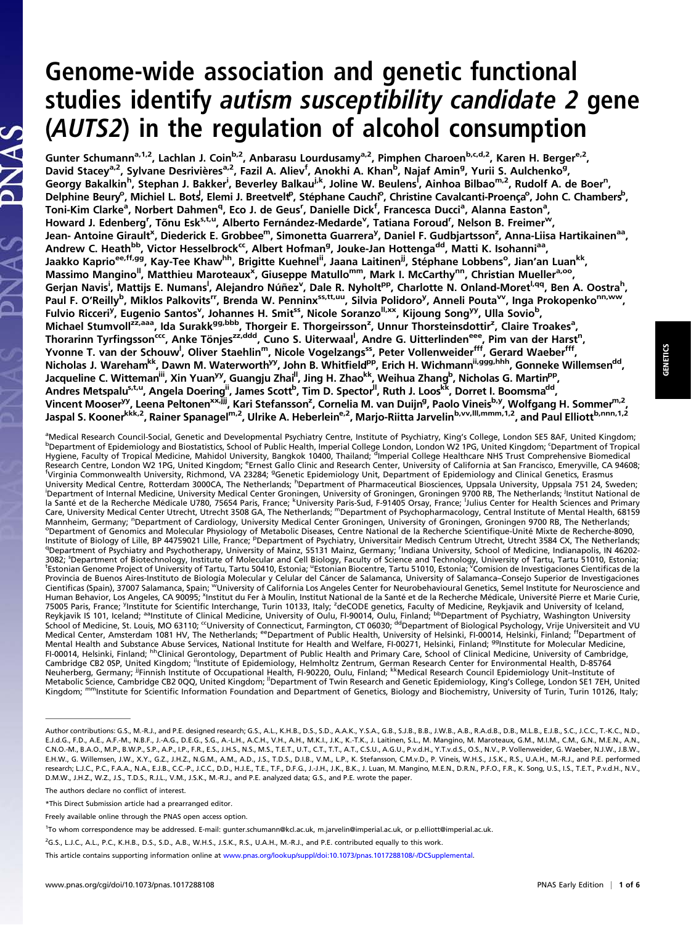## Genome-wide association and genetic functional studies identify autism susceptibility candidate 2 gene (AUTS2) in the regulation of alcohol consumption

Gunter Schumann<sup>a,1,2</sup>, Lachlan J. Coin<sup>b,2</sup>, Anbarasu Lourdusamy<sup>a,2</sup>, Pimphen Charoen<sup>b,c,d,2</sup>, Karen H. Berger<sup>e,2</sup>, David Stacey<sup>a,2</sup>, Sylvane Desrivières<sup>a,2</sup>, Fazil A. Aliev<sup>f</sup>, Anokhi A. Khan<sup>b</sup>, Najaf Amin<sup>g</sup>, Yurii S. Aulchenko<sup>g</sup>, Georgy Bakalkin<sup>h</sup>, Stephan J. Bakker<sup>i</sup>, Beverley Balkau<sup>j.k</sup>, Joline W. Beulens<sup>i</sup>, Ainhoa Bilbao<sup>m,2</sup>, Rudolf A. de Boer<sup>n</sup>, Delphine Beury<sup>o</sup>, Michiel L. Bots, Elemi J. Breetvelt<sup>o</sup>, Stéphane Cauchi<sup>o</sup>, Christine Cavalcanti-Proença<sup>o</sup>, John C. Chambers<sup>b</sup>, Toni-Kim Clarke<sup>a</sup>, Norbert Dahmen<sup>q</sup>, Eco J. de Geus<sup>r</sup>, Danielle Dick<sup>f</sup>, Francesca Ducci<sup>a</sup>, Alanna Easton<sup>a</sup>, Howard J. Edenberg<sup>r</sup>, Tõnu Esk<sup>s,t,u</sup>, Alberto Fernández-Medarde<sup>v</sup>, Tatiana Foroud<sup>r</sup>, Nelson B. Freimer<sup>w</sup>, Jean- Antoine Girault<sup>x</sup>, Diederick E. Grobbee<sup>m</sup>, Simonetta Guarrera<sup>y</sup>, Daniel F. Gudbjartsson<sup>z</sup>, Anna-Liisa Hartikainen<sup>aa</sup>, Andrew C. Heath<sup>bb</sup>, Victor Hesselbrock<sup>cc</sup>, Albert Hofman<sup>g</sup>, Jouke-Jan Hottenga<sup>dd</sup>, Matti K. Isohanni<sup>aa</sup>, Jaakko Kaprio<sup>ee,ff,gg</sup>, Kay-Tee Khaw<sup>hh</sup>, Brigitte Kuehnel<sup>ii</sup>, Jaana Laitinen<sup>ji</sup>, Stéphane Lobbens<sup>o</sup>, Jian'an Luan<sup>kk</sup>, Massimo Mangino<sup>ll</sup>, Matthieu Maroteaux<sup>x</sup>, Giuseppe Matullo<sup>mm</sup>, Mark I. McCarthy<sup>nn</sup>, Christian Mueller<sup>a,oo</sup>, Gerjan Navis<sup>i</sup>, Mattijs E. Numans<sup>i</sup>, Alejandro Núñez<sup>v</sup>, Dale R. Nyholt<sup>pp</sup>, Charlotte N. Onland-Moret<sup>i,qq</sup>, Ben A. Oostra<sup>h</sup>, Paul F. O'Reilly<sup>b</sup>, Miklos Palkovits<sup>rr</sup>, Brenda W. Penninx<sup>ss,tt,uu</sup>, Silvia Polidoro<sup>y</sup>, Anneli Pouta<sup>vv</sup>, Inga Prokopenko<sup>nn,ww</sup>, Fulvio Ricceri<sup>y</sup>, Eugenio Santos<sup>v</sup>, Johannes H. Smit<sup>ss</sup>, Nicole Soranzo<sup>ll,xx</sup>, Kijoung Song<sup>yy</sup>, Ulla Sovio<sup>b</sup>, Michael Stumvoll<sup>zz,aaa</sup>, Ida Surakk<sup>gg,bbb</sup>, Thorgeir E. Thorgeirsson<sup>z</sup>, Unnur Thorsteinsdottir<sup>z</sup>, Claire Troakes<sup>a</sup>, Thorarinn Tyrfingsson<sup>ccc</sup>, Anke Tönjes<sup>zz,ddd</sup>, Cuno S. Uiterwaal<sup>l</sup>, Andre G. Uitterlinden<sup>eee</sup>, Pim van der Harst<sup>n</sup>, Yvonne T. van der Schouw<sup>l</sup>, Oliver Staehlin<sup>m</sup>, Nicole Vogelzangs<sup>ss</sup>, Peter Vollenweider<sup>fff</sup>, Gerard Waeber<sup>fff</sup>, Nicholas J. Wareham<sup>kk</sup>, Dawn M. Waterworth<sup>yy</sup>, John B. Whitfield<sup>pp</sup>, Erich H. Wichmann<sup>ii,ggg,hhh</sup>, Gonneke Willemsen<sup>dd</sup>, Jacqueline C. Witteman<sup>iii</sup>, Xin Yuan<sup>yy</sup>, Guangju Zhai<sup>ll</sup>, Jing H. Zhao<sup>kk</sup>, Weihua Zhang<sup>b</sup>, Nicholas G. Martin<sup>pp</sup>, Andres Metspalu<sup>s,t,u</sup>, Angela Doering<sup>ii</sup>, James Scott<sup>b</sup>, Tim D. Spector<sup>ll</sup>, Ruth J. Loos<sup>kk</sup>, Dorret I. Boomsma<sup>dd</sup>, Vincent Mooser<sup>yy</sup>, Leena Peltonen<sup>xx,jjj</sup>, Kari Stefansson<sup>z</sup>, Cornelia M. van Duijn<sup>g</sup>, Paolo Vineis<sup>b,y</sup>, Wolfgang H. Sommer<sup>m,2</sup>, Jaspal S. Kooner<sup>kkk,2</sup>, Rainer Spanagel<sup>m,2</sup>, Ulrike A. Heberlein<sup>e,2</sup>, Marjo-Riitta Jarvelin<sup>b,vv,III,mmm,1,2</sup>, and Paul Elliott<sup>b,nnn,1,2</sup>

<sup>a</sup>Medical Research Council-Social, Genetic and Developmental Psychiatry Centre, Institute of Psychiatry, King's College, London SE5 8AF, United Kingdom; between the Stranger of Tropics of Public Health Imperial College, L Department of Epidemiology and Biostatistics, School of Public Health, Imperial College London, London W2 1PG, United Kingdom; <sup>c</sup> Department of Tropical Hygiene, Faculty of Tropical Medicine, Mahidol University, Bangkok 10400, Thailand; <sup>d</sup>imperial College Healthcare NHS Trust Comprehensive Biomedical Research Centre, London W2 1PG, United Kingdom; <sup>e</sup>Ernest Gallo Clinic and Research Center, University of California at San Francisco, Emeryville, CA 94608;<br><sup>1</sup>Virginia Commonwealth University, Pichmond, VA 22284; <sup>9</sup>Genet Virginia Commonwealth University, Richmond, VA 23284; <sup>g</sup>Genetic Epidemiology Unit, Department of Epidemiology and Clinical Genetics, Erasmus University Medical Centre, Rotterdam 3000CA, The Netherlands; <sup>h</sup>Department of Pharmaceutical Biosciences, Uppsala University, Uppsala 751 24, Sweden; University Medical Centre, Rotterdam 3000CA, The Netherlands; "Department of Pharmaceutical Biosciences, Uppsala University, Uppsala 751 24, Sweden;<br>'Department of Internal Medicine, University Medical Center Groningen, Un Mannheim, Germany; <sup>n</sup>Department of Cardiology, University Medical Center Groningen, University of Groningen, Groningen 9700 RB, The Netherlands;<br><sup>o</sup>Department of Genomics and Molecular Physiology of Metabolic Diseases. Ce Department of Genomics and Molecular Physiology of Metabolic Diseases, Centre National de la Recherche Scientifique-Unité Mixte de Recherche-8090, Institute of Biology of Lille, BP 44759021 Lille, France; PDepartment of Psychiatry, Universitair Medisch Centrum Utrecht, Utrecht 3584 CX, The Netherlands;<br><sup>9</sup>Department of Psychiatry and Psychotherapy, University of Majo Department of Psychiatry and Psychotherapy, University of Mainz, 55131 Mainz, Germany; <sup>r</sup>Indiana University, School of Medicine, Indianapolis, IN 46202-3082; <sup>s</sup>Department of Biotechnology, Institute of Molecular and Cell Biology, Faculty of Science and Technology, University of Tartu, Tartu 51010, Estonia;<br>Sestonian Genome Project of University of Tartu 50110, Estonia: <sup></sup> Estonian Genome Project of University of Tartu, Tartu 50410, Estonia; "Estonian Biocentre, Tartu 51010, Estonia; <sup>v</sup>Comision de Investigaciones Cientificas de la Provincia de Buenos Aires-Instituto de Biología Molecular y Celular del Cáncer de Salamanca, University of Salamanca–Consejo Superior de Investigaciones Cientificas (Spain), 37007 Salamanca, Spain; wUniversity of California Los Angeles Center for Neurobehavioural Genetics, Semel Institute for Neuroscience and Human Behavior, Los Angeles, CA 90095; <sup>x</sup>institut du Fer à Moulin, Institut National de la Santé et de la Recherche Médicale, Université Pierre et Marie Curie, 75005 Paris, France; <sup>y</sup>Institute for Scientific Interchange, Turin 10133, Italy; <sup>z</sup>deCODE genetics, Faculty of Medicine, Reykjavik and University of Iceland,<br>Reykjavik IS 101, Iceland; <sup>aa</sup>Institute of Clinical Medicine, Medical Center, Amsterdam 1081 HV, The Netherlands; ePepartment of Public Health, University of Helsinki, FI-00014, Helsinki, Finland; <sup>ff</sup>Department of Mental Health and Substance Abuse Services, National Institute for Health and Welfare, FI-00271, Helsinki, Finland; <sup>gg</sup>Institute for Molecular Medicine,<br>FI-00014, Helsinki, Finland; <sup>hh</sup>Clinical Gerontology, Department of Cambridge CB2 0SP, United Kingdom; <sup>ii</sup>lnstitute of Epidemiology, Helmholtz Zentrum, German Research Center for Environmental Health, D-85764<br>Neuherberg, Germany; <sup>ij</sup>Finnish Institute of Occupational Health, FI-90220, Oul Kingdom; mmInstitute for Scientific Information Foundation and Department of Genetics, Biology and Biochemistry, University of Turin, Turin 10126, Italy;

The authors declare no conflict of interest.

2 G.S., L.J.C., A.L., P.C., K.H.B., D.S., S.D., A.B., W.H.S., J.S.K., R.S., U.A.H., M.-R.J., and P.E. contributed equally to this work.

Author contributions: G.S., M.-R.J., and P.E. designed research; G.S., A.L., K.H.B., D.S., S.D., A.A.K., Y.S.A., G.B., S.J.B., B.B., J.W.B., A.B., R.A.d.B., D.B., M.L.B., E.J.B., S.C., J.C.C., T.-K.C., N.D., E.J.d.G., F.D., A.E., A.F.-M., N.B.F., J.-A.G., D.E.G., S.G., A.-L.H., A.C.H., V.H., A.H., M.K.I., J.K., K.-T.K., J. Laitinen, S.L., M. Mangino, M. Maroteaux, G.M., M.I.M., C.M., G.N., M.E.N., A.N., C.N.O.-M., B.A.O., M.P., B.W.P., S.P., A.P., I.P., F.R., E.S., J.H.S., N.S., M.S., T.E.T., U.T., C.T., T.T., A.T., C.S.U., A.G.U., P.v.d.H., Y.T.v.d.S., O.S., N.V., P. Vollenweider, G. Waeber, N.J.W., J.B.W., E.H.W., G. Willemsen, J.W., X.Y., G.Z., J.H.Z., N.G.M., A.M., A.D., J.S., T.D.S., D.I.B., V.M., L.P., K. Stefansson, C.M.v.D., P. Vineis, W.H.S., J.S.K., R.S., U.A.H., M.-R.J., and P.E. performed research; L.J.C., P.C., F.A.A., N.A., E.J.B., C.C.-P., J.C.C., D.D., H.J.E., T.E., T.F., D.F.G., J.-J.H., J.K., B.K., J. Luan, M. Mangino, M.E.N., D.R.N., P.F.O., F.R., K. Song, U.S., I.S., T.E.T., P.v.d.H., N.V., D.M.W., J.H.Z., W.Z., J.S., T.D.S., R.J.L., V.M., J.S.K., M.-R.J., and P.E. analyzed data; G.S., and P.E. wrote the paper.

<sup>\*</sup>This Direct Submission article had a prearranged editor.

Freely available online through the PNAS open access option.

<sup>1</sup> To whom correspondence may be addressed. E-mail: [gunter.schumann@kcl.ac.uk](mailto:gunter.schumann@kcl.ac.uk), [m.jarvelin@imperial.ac.uk,](mailto:m.jarvelin@imperial.ac.uk) or [p.elliott@imperial.ac.uk](mailto:p.elliott@imperial.ac.uk).

This article contains supporting information online at [www.pnas.org/lookup/suppl/doi:10.1073/pnas.1017288108/-/DCSupplemental](http://www.pnas.org/lookup/suppl/doi:10.1073/pnas.1017288108/-/DCSupplemental).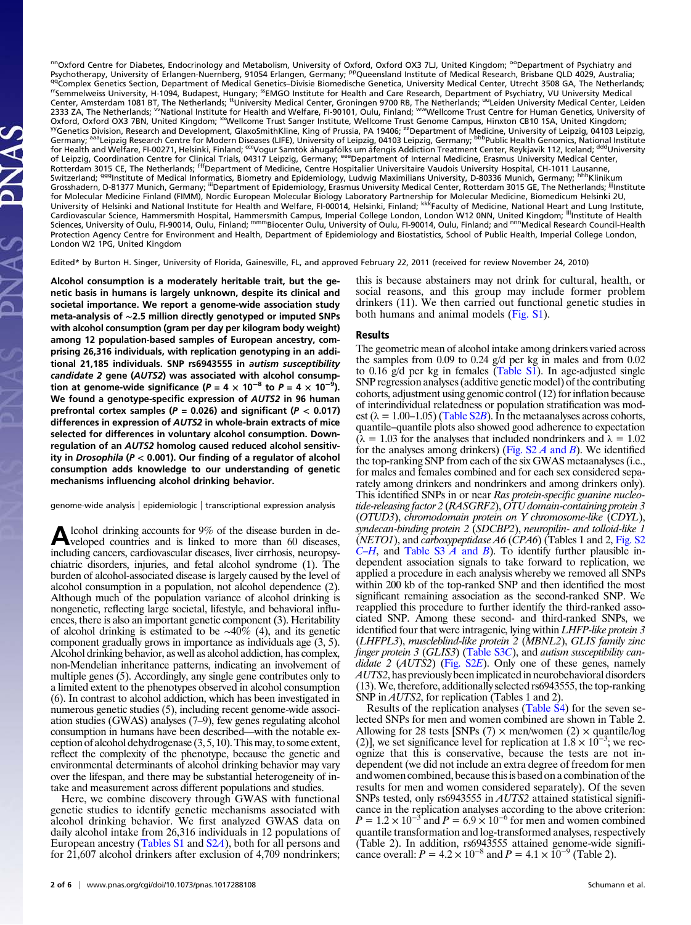<sup>nn</sup>Oxford Centre for Diabetes, Endocrinology and Metabolism, University of Oxford, Oxford OX3 7LJ, United Kingdom; <sup>oo</sup>Department of Psychiatry and<br>Psychotherapy, University of Erlangen-Nuernberg, 91054 Erlangen, Germany; adcomplex Genetics Section, Department of Medical Genetics–Divisie Biomedische Genetica, University Medical Center, Utrecht 3508 GA, The Netherlands; Center, Amsterdam 1081 BT, The Netherlands; ttUniversity Medical Center, Amsterdam 1081 BT, The Netherlands; ttuniversity, H-1094, Budapest, Hungary; <sup>se</sup>EMGO Institute for Health and Care Research, Department of Psychiatr 2333 ZA, The Netherlands; <sup>w</sup>National Institute for Health and Welfare, FI-90101, Oulu, Finland; <sup>ww</sup>Wellcome Trust Centre for Human Genetics, University of Oxford, Oxford OX3 7BN, United Kingdom; <sup>xx</sup>Wellcome Trust Sanger Rotterdam 3015 CE, The Netherlands; <sup>fff</sup>Department of Medicine, Centre Hospitalier Universitaire Vaudois University Hospital, CH-1011 Lausanne,<br>Switzerland; <sup>ggg</sup>Institute of Medical Informatics, Biometry and Epidemiology Grosshadern, D-81377 Munich, Germany; "Department of Epidemiology, Erasmus University Medical Center, Rotterdam 3015 GE, The Netherlands; <sup>jjj</sup>Institute for Molecular Medicine Finland (FIMM), Nordic European Molecular Biology Laboratory Partnership for Molecular Medicine, Biomedicum Helsinki 2U,<br>University of Helsinki and National Institute for Health and Welfare, FI-00014 Cardiovascular Science, Hammersmith Hospital, Hammersmith Campus, Imperial College London, London W12 0NN, United Kingdom; "Institute of Health Sciences, University of Oulu, FI-90014, Oulu, Finland; mmmBiocenter Oulu, University of Oulu, FI-90014, Oulu, Finland; and nnn Medical Research Council-Health Protection Agency Centre for Environment and Health, Department of Epidemiology and Biostatistics, School of Public Health, Imperial College London, London W2 1PG, United Kingdom

Edited\* by Burton H. Singer, University of Florida, Gainesville, FL, and approved February 22, 2011 (received for review November 24, 2010)

Alcohol consumption is a moderately heritable trait, but the genetic basis in humans is largely unknown, despite its clinical and societal importance. We report a genome-wide association study meta-analysis of ∼2.5 million directly genotyped or imputed SNPs with alcohol consumption (gram per day per kilogram body weight) among 12 population-based samples of European ancestry, comprising 26,316 individuals, with replication genotyping in an additional 21,185 individuals. SNP rs6943555 in autism susceptibility candidate 2 gene (AUTS2) was associated with alcohol consumption at genome-wide significance (P = 4  $\times$  10<sup>−8</sup> to P = 4  $\times$  10<sup>−9</sup>). We found a genotype-specific expression of AUTS2 in 96 human prefrontal cortex samples ( $P = 0.026$ ) and significant ( $P < 0.017$ ) differences in expression of AUTS2 in whole-brain extracts of mice selected for differences in voluntary alcohol consumption. Downregulation of an AUTS2 homolog caused reduced alcohol sensitivity in Drosophila ( $P < 0.001$ ). Our finding of a regulator of alcohol consumption adds knowledge to our understanding of genetic mechanisms influencing alcohol drinking behavior.

genome-wide analysis | epidemiologic | transcriptional expression analysis

Alcohol drinking accounts for 9% of the disease burden in de-<br>
veloped countries and is linked to more than 60 diseases, including cancers, cardiovascular diseases, liver cirrhosis, neuropsychiatric disorders, injuries, and fetal alcohol syndrome (1). The burden of alcohol-associated disease is largely caused by the level of alcohol consumption in a population, not alcohol dependence (2). Although much of the population variance of alcohol drinking is nongenetic, reflecting large societal, lifestyle, and behavioral influences, there is also an important genetic component (3). Heritability of alcohol drinking is estimated to be ∼40% (4), and its genetic component gradually grows in importance as individuals age (3, 5). Alcohol drinking behavior, as well as alcohol addiction, has complex, non-Mendelian inheritance patterns, indicating an involvement of multiple genes (5). Accordingly, any single gene contributes only to a limited extent to the phenotypes observed in alcohol consumption (6). In contrast to alcohol addiction, which has been investigated in numerous genetic studies (5), including recent genome-wide association studies (GWAS) analyses (7–9), few genes regulating alcohol consumption in humans have been described—with the notable exception of alcohol dehydrogenase (3, 5, 10). This may, to some extent, reflect the complexity of the phenotype, because the genetic and environmental determinants of alcohol drinking behavior may vary over the lifespan, and there may be substantial heterogeneity of intake and measurement across different populations and studies.

Here, we combine discovery through GWAS with functional genetic studies to identify genetic mechanisms associated with alcohol drinking behavior. We first analyzed GWAS data on daily alcohol intake from 26,316 individuals in 12 populations of European ancestry ([Tables S1](http://www.pnas.org/lookup/suppl/doi:10.1073/pnas.1017288108/-/DCSupplemental/st01.docx) and [S2](http://www.pnas.org/lookup/suppl/doi:10.1073/pnas.1017288108/-/DCSupplemental/st02.docx)A), both for all persons and for 21,607 alcohol drinkers after exclusion of 4,709 nondrinkers;

this is because abstainers may not drink for cultural, health, or social reasons, and this group may include former problem drinkers (11). We then carried out functional genetic studies in both humans and animal models [\(Fig. S1](http://www.pnas.org/lookup/suppl/doi:10.1073/pnas.1017288108/-/DCSupplemental/pnas.201017288SI.pdf?targetid=nameddest=SF1)).

## Results

The geometric mean of alcohol intake among drinkers varied across the samples from 0.09 to 0.24 g/d per kg in males and from 0.02 to 0.16 g/d per kg in females ([Table S1\)](http://www.pnas.org/lookup/suppl/doi:10.1073/pnas.1017288108/-/DCSupplemental/st01.docx). In age-adjusted single SNP regression analyses (additive genetic model) of the contributing cohorts, adjustment using genomic control (12) for inflation because of interindividual relatedness or population stratification was modest ( $\lambda = 1.00{\text -}1.05$ ) ([Table S2](http://www.pnas.org/lookup/suppl/doi:10.1073/pnas.1017288108/-/DCSupplemental/st02.docx)B). In the metaanalyses across cohorts, quantile–quantile plots also showed good adherence to expectation  $(\lambda = 1.03$  for the analyses that included nondrinkers and  $\lambda = 1.02$ for the analyses among drinkers) (Fig.  $S2A$  and B). We identified the top-ranking SNP from each of the six GWAS metaanalyses (i.e., for males and females combined and for each sex considered separately among drinkers and nondrinkers and among drinkers only). This identified SNPs in or near Ras protein-specific guanine nucleotide-releasing factor 2 (RASGRF2), OTU domain-containing protein 3 (OTUD3), chromodomain protein on Y chromosome-like (CDYL), syndecan-binding protein 2 (SDCBP2), neuropilin- and tolloid-like 1 (NETO1), and carboxypeptidase A6 (CPA6) (Tables 1 and 2, [Fig. S2](http://www.pnas.org/lookup/suppl/doi:10.1073/pnas.1017288108/-/DCSupplemental/pnas.201017288SI.pdf?targetid=nameddest=SF2)  $C-H$  $C-H$ , and [Table S3](http://www.pnas.org/lookup/suppl/doi:10.1073/pnas.1017288108/-/DCSupplemental/st03.docx) A and B). To identify further plausible independent association signals to take forward to replication, we applied a procedure in each analysis whereby we removed all SNPs within 200 kb of the top-ranked SNP and then identified the most significant remaining association as the second-ranked SNP. We reapplied this procedure to further identify the third-ranked associated SNP. Among these second- and third-ranked SNPs, we identified four that were intragenic, lying within LHFP-like protein 3 (LHFPL3), muscleblind-like protein 2 (MBNL2), GLIS family zinc finger protein 3 (GLIS3) [\(Table S3](http://www.pnas.org/lookup/suppl/doi:10.1073/pnas.1017288108/-/DCSupplemental/st03.docx)C), and autism susceptibility candidate 2 ( $AUT\hat{S}2$ ) (Fig.  $S2E$ ). Only one of these genes, namely AUTS2, has previously been implicated in neurobehavioral disorders (13).We, therefore, additionally selected rs6943555, the top-ranking SNP in *AUTS2*, for replication (Tables 1 and 2).

Results of the replication analyses [\(Table S4](http://www.pnas.org/lookup/suppl/doi:10.1073/pnas.1017288108/-/DCSupplemental/st04.docx)) for the seven selected SNPs for men and women combined are shown in Table 2. Allowing for 28 tests [SNPs (7)  $\times$  men/women (2)  $\times$  quantile/log (2)], we set significance level for replication at  $1.8 \times 10^{-3}$ ; we recognize that this is conservative, because the tests are not independent (we did not include an extra degree of freedom for men and women combined, because this is based on a combination of the results for men and women considered separately). Of the seven SNPs tested, only rs6943555 in AUTS2 attained statistical significance in the replication analyses according to the above criterion:<br> $P = 1.2 \times 10^{-3}$  and  $P = 6.9 \times 10^{-6}$  for men and women combined quantile transformation and log-transformed analyses, respectively (Table 2). In addition, rs6943555 attained genome-wide significance overall:  $P = 4.2 \times 10^{-8}$  and  $P = 4.1 \times 10^{-9}$  (Table 2).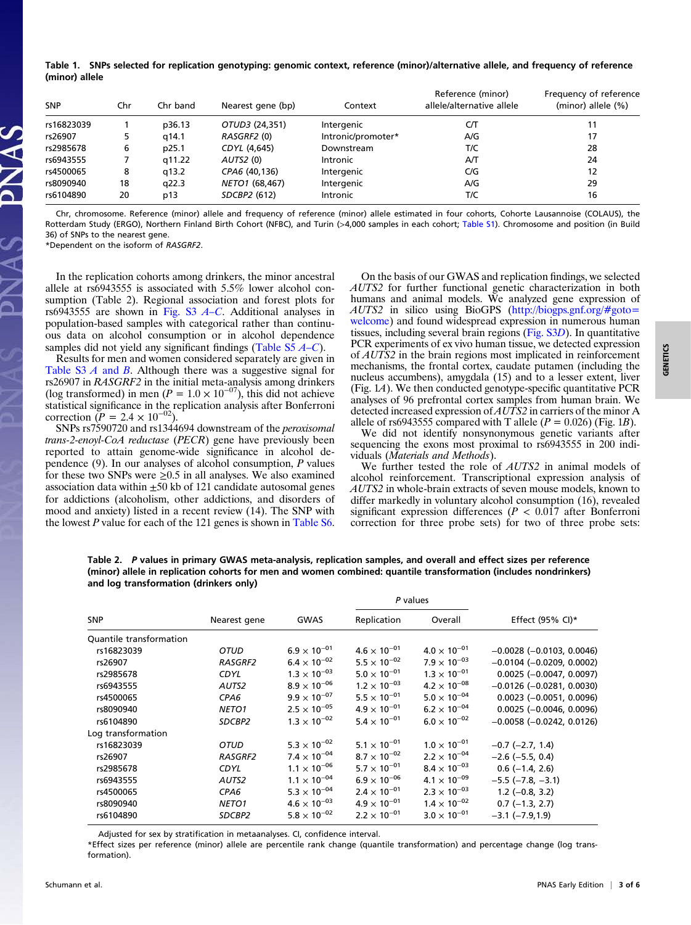Table 1. SNPs selected for replication genotyping: genomic context, reference (minor)/alternative allele, and frequency of reference (minor) allele

| <b>SNP</b> | Chr | Chr band | Nearest gene (bp) | Context            | Reference (minor)<br>allele/alternative allele | Frequency of reference<br>(minor) allele (%) |
|------------|-----|----------|-------------------|--------------------|------------------------------------------------|----------------------------------------------|
| rs16823039 |     | p36.13   | OTUD3 (24,351)    | Intergenic         | CЛ                                             |                                              |
| rs26907    | 5.  | a14.1    | RASGRF2 (0)       | Intronic/promoter* | A/G                                            | 17                                           |
| rs2985678  | 6   | p25.1    | CDYL (4,645)      | Downstream         | T/C                                            | 28                                           |
| rs6943555  |     | q11.22   | AUTS2(0)          | <b>Intronic</b>    | AT                                             | 24                                           |
| rs4500065  | 8   | a13.2    | CPA6 (40,136)     | Intergenic         | C/G                                            | 12                                           |
| rs8090940  | 18  | a22.3    | NETO1 (68,467)    | Intergenic         | A/G                                            | 29                                           |
| rs6104890  | 20  | p13      | SDCBP2 (612)      | <b>Intronic</b>    | T/C                                            | 16                                           |

Chr, chromosome. Reference (minor) allele and frequency of reference (minor) allele estimated in four cohorts, Cohorte Lausannoise (COLAUS), the Rotterdam Study (ERGO), Northern Finland Birth Cohort (NFBC), and Turin (>4,000 samples in each cohort; [Table S1](http://www.pnas.org/lookup/suppl/doi:10.1073/pnas.1017288108/-/DCSupplemental/st01.docx)). Chromosome and position (in Build 36) of SNPs to the nearest gene.

\*Dependent on the isoform of RASGRF2.

In the replication cohorts among drinkers, the minor ancestral allele at rs6943555 is associated with 5.5% lower alcohol consumption (Table 2). Regional association and forest plots for rs6943555 are shown in [Fig. S3](http://www.pnas.org/lookup/suppl/doi:10.1073/pnas.1017288108/-/DCSupplemental/pnas.201017288SI.pdf?targetid=nameddest=SF3)  $A$ –C. Additional analyses in population-based samples with categorical rather than continuous data on alcohol consumption or in alcohol dependence samples did not yield any significant findings (Table  $S5$   $A-C$ ).

Results for men and women considered separately are given in [Table S3](http://www.pnas.org/lookup/suppl/doi:10.1073/pnas.1017288108/-/DCSupplemental/st03.docx)  $\AA$  and  $\AA$ . Although there was a suggestive signal for rs26907 in RASGRF2 in the initial meta-analysis among drinkers (log transformed) in men ( $P = 1.0 \times 10^{-07}$ ), this did not achieve statistical significance in the replication analysis after Bonferroni correction ( $P = 2.4 \times 10^{-02}$ ).

SNPs rs7590720 and rs1344694 downstream of the peroxisomal trans-2-enoyl-CoA reductase (PECR) gene have previously been reported to attain genome-wide significance in alcohol dependence (9). In our analyses of alcohol consumption, P values for these two SNPs were  $\geq 0.5$  in all analyses. We also examined association data within  $\pm 50$  kb of 121 candidate autosomal genes for addictions (alcoholism, other addictions, and disorders of mood and anxiety) listed in a recent review (14). The SNP with the lowest P value for each of the 121 genes is shown in [Table S6](http://www.pnas.org/lookup/suppl/doi:10.1073/pnas.1017288108/-/DCSupplemental/st06.docx).

On the basis of our GWAS and replication findings, we selected AUTS2 for further functional genetic characterization in both humans and animal models. We analyzed gene expression of AUTS2 in silico using BioGPS [\(http://biogps.gnf.org/#goto=](http://biogps.gnf.org/#goto=welcome) [welcome\)](http://biogps.gnf.org/#goto=welcome) and found widespread expression in numerous human tissues, including several brain regions [\(Fig. S3](http://www.pnas.org/lookup/suppl/doi:10.1073/pnas.1017288108/-/DCSupplemental/pnas.201017288SI.pdf?targetid=nameddest=SF3)D). In quantitative PCR experiments of ex vivo human tissue, we detected expression of AUTS2 in the brain regions most implicated in reinforcement mechanisms, the frontal cortex, caudate putamen (including the nucleus accumbens), amygdala (15) and to a lesser extent, liver (Fig. 1A). We then conducted genotype-specific quantitative PCR analyses of 96 prefrontal cortex samples from human brain. We detected increased expression of AUTS2 in carriers of the minor A allele of rs6943555 compared with T allele  $(P = 0.026)$  (Fig. 1B).

We did not identify nonsynonymous genetic variants after sequencing the exons most proximal to rs6943555 in 200 individuals (Materials and Methods).

We further tested the role of *AUTS2* in animal models of alcohol reinforcement. Transcriptional expression analysis of AUTS2 in whole-brain extracts of seven mouse models, known to differ markedly in voluntary alcohol consumption (16), revealed significant expression differences ( $P < 0.017$  after Bonferroni correction for three probe sets) for two of three probe sets:

Table 2. P values in primary GWAS meta-analysis, replication samples, and overall and effect sizes per reference (minor) allele in replication cohorts for men and women combined: quantile transformation (includes nondrinkers) and log transformation (drinkers only)

|                         |                   |                       | P values              |                       |                                 |
|-------------------------|-------------------|-----------------------|-----------------------|-----------------------|---------------------------------|
| <b>SNP</b>              | Nearest gene      | <b>GWAS</b>           | Replication           | Overall               | Effect (95% CI)*                |
| Quantile transformation |                   |                       |                       |                       |                                 |
| rs16823039              | OTUD              | $6.9 \times 10^{-01}$ | $4.6 \times 10^{-01}$ | $4.0 \times 10^{-01}$ | $-0.0028$ ( $-0.0103$ , 0.0046) |
| rs26907                 | RASGRF2           | $6.4 \times 10^{-02}$ | $5.5 \times 10^{-02}$ | $7.9 \times 10^{-03}$ | $-0.0104$ ( $-0.0209$ , 0.0002) |
| rs2985678               | <b>CDYL</b>       | $1.3 \times 10^{-03}$ | $5.0 \times 10^{-01}$ | $1.3 \times 10^{-01}$ | $0.0025 (-0.0047, 0.0097)$      |
| rs6943555               | AUTS2             | $8.9 \times 10^{-06}$ | $1.2 \times 10^{-03}$ | $4.2 \times 10^{-08}$ | $-0.0126$ ( $-0.0281$ , 0.0030) |
| rs4500065               | CPA6              | $9.9 \times 10^{-07}$ | $5.5 \times 10^{-01}$ | $5.0 \times 10^{-04}$ | $0.0023$ (-0.0051, 0.0096)      |
| rs8090940               | <b>NETO1</b>      | $2.5 \times 10^{-05}$ | $4.9 \times 10^{-01}$ | $6.2 \times 10^{-04}$ | $0.0025 (-0.0046, 0.0096)$      |
| rs6104890               | SDCBP2            | $1.3 \times 10^{-02}$ | $5.4 \times 10^{-01}$ | $6.0 \times 10^{-02}$ | $-0.0058$ ( $-0.0242$ , 0.0126) |
| Log transformation      |                   |                       |                       |                       |                                 |
| rs16823039              | <b>OTUD</b>       | $5.3 \times 10^{-02}$ | $5.1 \times 10^{-01}$ | $1.0 \times 10^{-01}$ | $-0.7$ ( $-2.7$ , 1.4)          |
| rs26907                 | RASGRF2           | $7.4 \times 10^{-04}$ | $8.7 \times 10^{-02}$ | $2.2 \times 10^{-04}$ | $-2.6$ ( $-5.5$ , 0.4)          |
| rs2985678               | <b>CDYL</b>       | $1.1 \times 10^{-06}$ | $5.7 \times 10^{-01}$ | $8.4 \times 10^{-03}$ | $0.6$ (-1.4, 2.6)               |
| rs6943555               | AUTS2             | $1.1 \times 10^{-04}$ | $6.9 \times 10^{-06}$ | $4.1 \times 10^{-09}$ | $-5.5$ ( $-7.8$ , $-3.1$ )      |
| rs4500065               | CPA6              | $5.3 \times 10^{-04}$ | $2.4 \times 10^{-01}$ | $2.3 \times 10^{-03}$ | $1.2$ (-0.8, 3.2)               |
| rs8090940               | NETO <sub>1</sub> | $4.6 \times 10^{-03}$ | $4.9 \times 10^{-01}$ | $1.4 \times 10^{-02}$ | $0.7$ (-1.3, 2.7)               |
| rs6104890               | SDCBP2            | $5.8 \times 10^{-02}$ | $2.2 \times 10^{-01}$ | $3.0 \times 10^{-01}$ | $-3.1$ ( $-7.9,1.9$ )           |
|                         |                   |                       |                       |                       |                                 |

Adjusted for sex by stratification in metaanalyses. CI, confidence interval.

\*Effect sizes per reference (minor) allele are percentile rank change (quantile transformation) and percentage change (log transformation).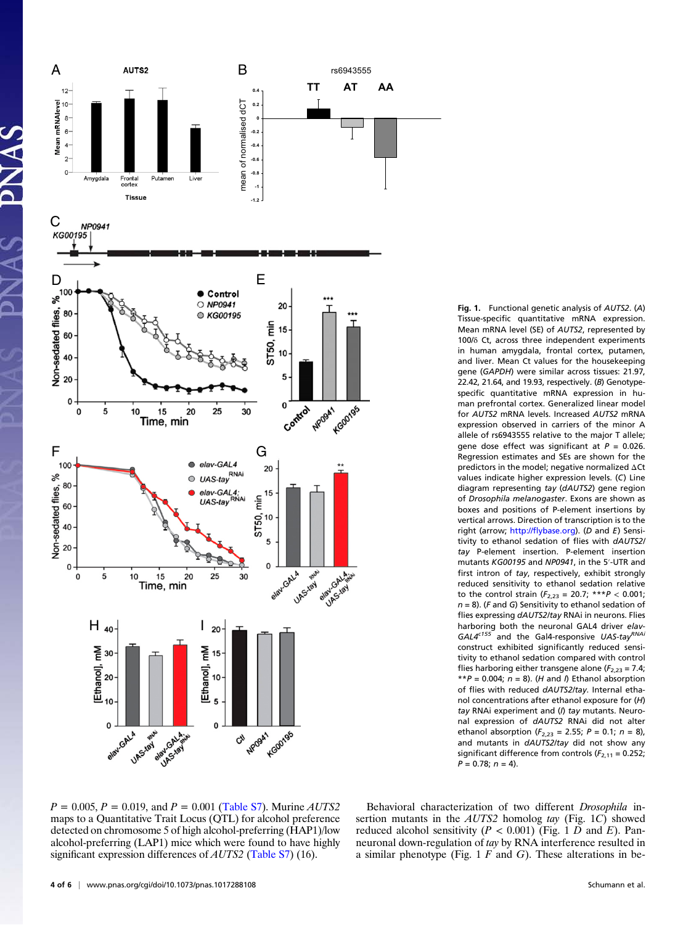

Fig. 1. Functional genetic analysis of AUTS2. (A) Tissue-specific quantitative mRNA expression. Mean mRNA level (SE) of AUTS2, represented by 100/δ Ct, across three independent experiments in human amygdala, frontal cortex, putamen, and liver. Mean Ct values for the housekeeping gene (GAPDH) were similar across tissues: 21.97, 22.42, 21.64, and 19.93, respectively. (B) Genotypespecific quantitative mRNA expression in human prefrontal cortex. Generalized linear model for AUTS2 mRNA levels. Increased AUTS2 mRNA expression observed in carriers of the minor A allele of rs6943555 relative to the major T allele; gene dose effect was significant at  $P = 0.026$ . Regression estimates and SEs are shown for the predictors in the model; negative normalized ΔCt values indicate higher expression levels. (C) Line diagram representing tay (dAUTS2) gene region of Drosophila melanogaster. Exons are shown as boxes and positions of P-element insertions by vertical arrows. Direction of transcription is to the right (arrow; http://fl[ybase.org](http://flybase.org)). (D and E) Sensitivity to ethanol sedation of flies with dAUTS2/ tay P-element insertion. P-element insertion mutants KG00195 and NP0941, in the 5′-UTR and first intron of tay, respectively, exhibit strongly reduced sensitivity to ethanol sedation relative to the control strain  $(F_{2,23} = 20.7; **P < 0.001;$  $n = 8$ ). (F and G) Sensitivity to ethanol sedation of flies expressing dAUTS2/tay RNAi in neurons. Flies harboring both the neuronal GAL4 driver elav- $GAL4<sup>c155</sup>$  and the Gal4-responsive UAS-tay<sup>RNAi</sup> construct exhibited significantly reduced sensitivity to ethanol sedation compared with control flies harboring either transgene alone ( $F_{2,23}$  = 7.4; \*\*P = 0.004;  $n = 8$ ). (H and I) Ethanol absorption of flies with reduced dAUTS2/tay. Internal ethanol concentrations after ethanol exposure for (H) tay RNAi experiment and (I) tay mutants. Neuronal expression of dAUTS2 RNAi did not alter ethanol absorption ( $F_{2,23} = 2.55$ ; P = 0.1; n = 8), and mutants in dAUTS2/tay did not show any significant difference from controls ( $F_{2,11}$  = 0.252;  $P = 0.78; n = 4$ .

 $P = 0.005, P = 0.019,$  and  $P = 0.001$  [\(Table S7\)](http://www.pnas.org/lookup/suppl/doi:10.1073/pnas.1017288108/-/DCSupplemental/st07.docx). Murine AUTS2 maps to a Quantitative Trait Locus (QTL) for alcohol preference detected on chromosome 5 of high alcohol-preferring (HAP1)/low alcohol-preferring (LAP1) mice which were found to have highly significant expression differences of *AUTS2* [\(Table S7](http://www.pnas.org/lookup/suppl/doi:10.1073/pnas.1017288108/-/DCSupplemental/st07.docx)) (16).

Behavioral characterization of two different Drosophila insertion mutants in the *AUTS2* homolog tay (Fig. 1C) showed reduced alcohol sensitivity ( $P < 0.001$ ) (Fig. 1 D and E). Panneuronal down-regulation of tay by RNA interference resulted in a similar phenotype (Fig.  $1 F$  and  $G$ ). These alterations in be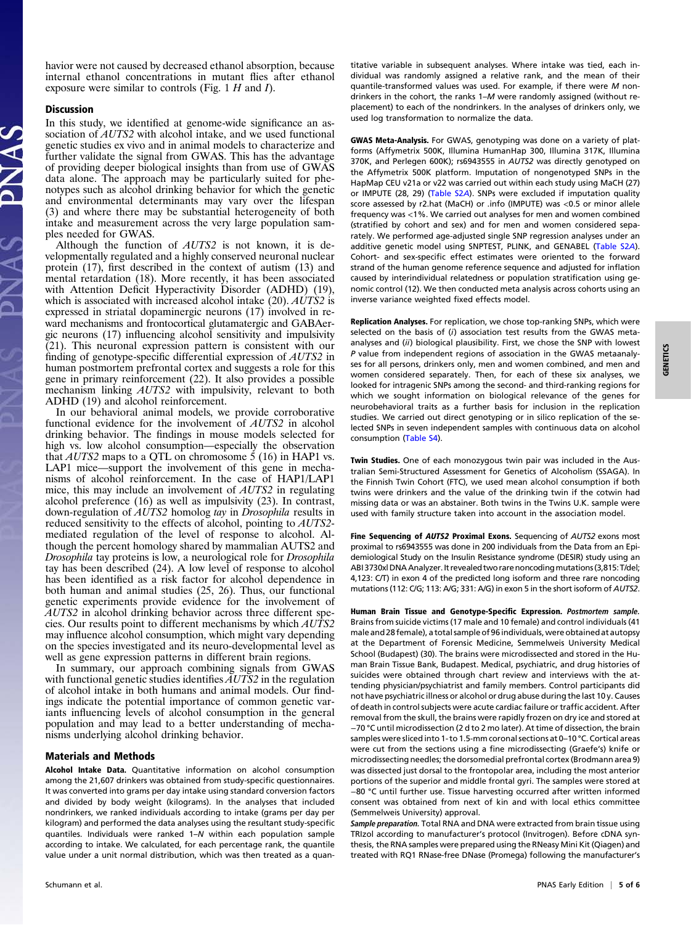havior were not caused by decreased ethanol absorption, because internal ethanol concentrations in mutant flies after ethanol exposure were similar to controls (Fig.  $1 H$  and  $I$ ).

## Discussion

In this study, we identified at genome-wide significance an association of *AUTS2* with alcohol intake, and we used functional genetic studies ex vivo and in animal models to characterize and further validate the signal from GWAS. This has the advantage of providing deeper biological insights than from use of GWAS data alone. The approach may be particularly suited for phenotypes such as alcohol drinking behavior for which the genetic and environmental determinants may vary over the lifespan (3) and where there may be substantial heterogeneity of both intake and measurement across the very large population samples needed for GWAS.

Although the function of AUTS2 is not known, it is developmentally regulated and a highly conserved neuronal nuclear protein (17), first described in the context of autism (13) and mental retardation (18). More recently, it has been associated with Attention Deficit Hyperactivity Disorder (ADHD) (19), which is associated with increased alcohol intake (20). AUTS2 is expressed in striatal dopaminergic neurons (17) involved in reward mechanisms and frontocortical glutamatergic and GABAergic neurons (17) influencing alcohol sensitivity and impulsivity (21). This neuronal expression pattern is consistent with our finding of genotype-specific differential expression of AUTS2 in human postmortem prefrontal cortex and suggests a role for this gene in primary reinforcement (22). It also provides a possible mechanism linking AUTS2 with impulsivity, relevant to both ADHD (19) and alcohol reinforcement.

In our behavioral animal models, we provide corroborative functional evidence for the involvement of AUTS2 in alcohol drinking behavior. The findings in mouse models selected for high vs. low alcohol consumption—especially the observation that AUTS2 maps to a QTL on chromosome 5 (16) in HAP1 vs. LAP1 mice—support the involvement of this gene in mechanisms of alcohol reinforcement. In the case of HAP1/LAP1 mice, this may include an involvement of AUTS2 in regulating alcohol preference (16) as well as impulsivity (23). In contrast, down-regulation of *AUTS2* homolog tay in *Drosophila* results in reduced sensitivity to the effects of alcohol, pointing to AUTS2 mediated regulation of the level of response to alcohol. Although the percent homology shared by mammalian AUTS2 and Drosophila tay proteins is low, a neurological role for Drosophila tay has been described (24). A low level of response to alcohol has been identified as a risk factor for alcohol dependence in both human and animal studies (25, 26). Thus, our functional genetic experiments provide evidence for the involvement of AUTS2 in alcohol drinking behavior across three different species. Our results point to different mechanisms by which AUTS2 may influence alcohol consumption, which might vary depending on the species investigated and its neuro-developmental level as well as gene expression patterns in different brain regions.

In summary, our approach combining signals from GWAS with functional genetic studies identifies  $\overline{AUTS2}$  in the regulation of alcohol intake in both humans and animal models. Our findings indicate the potential importance of common genetic variants influencing levels of alcohol consumption in the general population and may lead to a better understanding of mechanisms underlying alcohol drinking behavior.

## Materials and Methods

Alcohol Intake Data. Quantitative information on alcohol consumption among the 21,607 drinkers was obtained from study-specific questionnaires. It was converted into grams per day intake using standard conversion factors and divided by body weight (kilograms). In the analyses that included nondrinkers, we ranked individuals according to intake (grams per day per kilogram) and performed the data analyses using the resultant study-specific quantiles. Individuals were ranked 1–N within each population sample according to intake. We calculated, for each percentage rank, the quantile value under a unit normal distribution, which was then treated as a quantitative variable in subsequent analyses. Where intake was tied, each individual was randomly assigned a relative rank, and the mean of their quantile-transformed values was used. For example, if there were M nondrinkers in the cohort, the ranks 1–M were randomly assigned (without replacement) to each of the nondrinkers. In the analyses of drinkers only, we used log transformation to normalize the data.

GWAS Meta-Analysis. For GWAS, genotyping was done on a variety of platforms (Affymetrix 500K, Illumina HumanHap 300, Illumina 317K, Illumina 370K, and Perlegen 600K); rs6943555 in AUTS2 was directly genotyped on the Affymetrix 500K platform. Imputation of nongenotyped SNPs in the HapMap CEU v21a or v22 was carried out within each study using MaCH (27) or IMPUTE (28, 29) ([Table S2](http://www.pnas.org/lookup/suppl/doi:10.1073/pnas.1017288108/-/DCSupplemental/st02.docx)A). SNPs were excluded if imputation quality score assessed by r2.hat (MaCH) or .info (IMPUTE) was <0.5 or minor allele frequency was <1%. We carried out analyses for men and women combined (stratified by cohort and sex) and for men and women considered separately. We performed age-adjusted single SNP regression analyses under an additive genetic model using SNPTEST, PLINK, and GENABEL ([Table S2](http://www.pnas.org/lookup/suppl/doi:10.1073/pnas.1017288108/-/DCSupplemental/st02.docx)A). Cohort- and sex-specific effect estimates were oriented to the forward strand of the human genome reference sequence and adjusted for inflation caused by interindividual relatedness or population stratification using genomic control (12). We then conducted meta analysis across cohorts using an inverse variance weighted fixed effects model.

Replication Analyses. For replication, we chose top-ranking SNPs, which were selected on the basis of (i) association test results from the GWAS metaanalyses and (ii) biological plausibility. First, we chose the SNP with lowest P value from independent regions of association in the GWAS metaanalyses for all persons, drinkers only, men and women combined, and men and women considered separately. Then, for each of these six analyses, we looked for intragenic SNPs among the second- and third-ranking regions for which we sought information on biological relevance of the genes for neurobehavioral traits as a further basis for inclusion in the replication studies. We carried out direct genotyping or in silico replication of the selected SNPs in seven independent samples with continuous data on alcohol consumption [\(Table S4\)](http://www.pnas.org/lookup/suppl/doi:10.1073/pnas.1017288108/-/DCSupplemental/st04.docx).

Twin Studies. One of each monozygous twin pair was included in the Australian Semi-Structured Assessment for Genetics of Alcoholism (SSAGA). In the Finnish Twin Cohort (FTC), we used mean alcohol consumption if both twins were drinkers and the value of the drinking twin if the cotwin had missing data or was an abstainer. Both twins in the Twins U.K. sample were used with family structure taken into account in the association model.

Fine Sequencing of AUTS2 Proximal Exons. Sequencing of AUTS2 exons most proximal to rs6943555 was done in 200 individuals from the Data from an Epidemiological Study on the Insulin Resistance syndrome (DESIR) study using an ABI 3730xl DNA Analyzer. It revealed two rare noncodingmutations (3,815: T/del; 4,123: C/T) in exon 4 of the predicted long isoform and three rare noncoding mutations (112: C/G; 113: A/G; 331: A/G) in exon 5 in the short isoform of AUTS2.

Human Brain Tissue and Genotype-Specific Expression. Postmortem sample. Brains from suicide victims (17 male and 10 female) and control individuals (41 male and 28 female), a total sample of 96 individuals, were obtained at autopsy at the Department of Forensic Medicine, Semmelweis University Medical School (Budapest) (30). The brains were microdissected and stored in the Human Brain Tissue Bank, Budapest. Medical, psychiatric, and drug histories of suicides were obtained through chart review and interviews with the attending physician/psychiatrist and family members. Control participants did not have psychiatric illness or alcohol or drug abuse during the last 10 y. Causes of death in control subjects were acute cardiac failure or traffic accident. After removal from the skull, the brains were rapidly frozen on dry ice and stored at −70 °C until microdissection (2 d to 2 mo later). At time of dissection, the brain samples were sliced into 1- to 1.5-mm coronal sections at 0–10 °C. Cortical areas were cut from the sections using a fine microdissecting (Graefe's) knife or microdissecting needles; the dorsomedial prefrontal cortex (Brodmann area 9) was dissected just dorsal to the frontopolar area, including the most anterior portions of the superior and middle frontal gyri. The samples were stored at −80 °C until further use. Tissue harvesting occurred after written informed consent was obtained from next of kin and with local ethics committee (Semmelweis University) approval.

Sample preparation. Total RNA and DNA were extracted from brain tissue using TRIzol according to manufacturer's protocol (Invitrogen). Before cDNA synthesis, the RNA samples were prepared using the RNeasy Mini Kit (Qiagen) and treated with RQ1 RNase-free DNase (Promega) following the manufacturer's